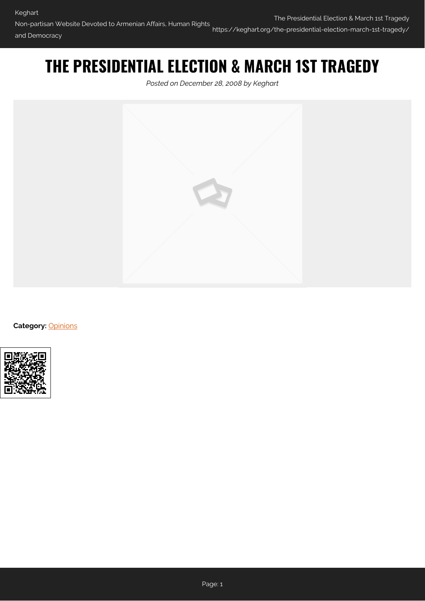# **THE PRESIDENTIAL ELECTION & MARCH 1ST TRAGEDY**

*Posted on December 28, 2008 by Keghart*



**Category: [Opinions](https://keghart.org/category/opinions/)** 

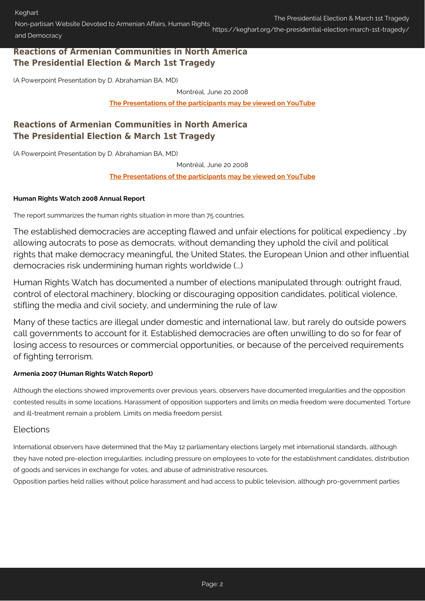Non-partisan Website Devoted to Armenian Affairs, Human Rights and Democracy https://keghart.org/the-presidential-election-march-1st-tragedy/

## **Reactions of Armenian Communities in North America The Presidential Election & March 1st Tragedy**

(A Powerpoint Presentation by D. Abrahamian BA, MD)

Montréal, June 20 2008

**[The Presentations of the participants may be viewed on YouTube](http://www.youtube.com/profile?user=KeghartDotCom&view=videos)**

# **Reactions of Armenian Communities in North America The Presidential Election & March 1st Tragedy**

(A Powerpoint Presentation by D. Abrahamian BA, MD)

Montréal, June 20 2008

**[The Presentations of the participants may be viewed on YouTube](http://www.youtube.com/profile?user=KeghartDotCom&view=videos)**

#### **Human Rights Watch 2008 Annual Report**

The report summarizes the human rights situation in more than 75 countries.

The established democracies are accepting flawed and unfair elections for political expediency …by allowing autocrats to pose as democrats, without demanding they uphold the civil and political rights that make democracy meaningful, the United States, the European Union and other influential democracies risk undermining human rights worldwide (...)

Human Rights Watch has documented a number of elections manipulated through: outright fraud, control of electoral machinery, blocking or discouraging opposition candidates, political violence, stifling the media and civil society, and undermining the rule of law

Many of these tactics are illegal under domestic and international law, but rarely do outside powers call governments to account for it. Established democracies are often unwilling to do so for fear of losing access to resources or commercial opportunities, or because of the perceived requirements of fighting terrorism.

#### **Armenia 2007 (Human Rights Watch Report)**

Although the elections showed improvements over previous years, observers have documented irregularities and the opposition contested results in some locations. Harassment of opposition supporters and limits on media freedom were documented. Torture and ill-treatment remain a problem. Limits on media freedom persist.

## Elections

International observers have determined that the May 12 parliamentary elections largely met international standards, although they have noted pre-election irregularities, including pressure on employees to vote for the establishment candidates, distribution of goods and services in exchange for votes, and abuse of administrative resources.

Opposition parties held rallies without police harassment and had access to public television, although pro-government parties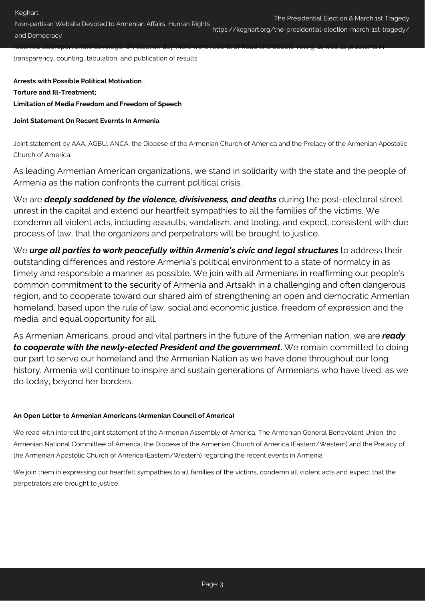Non-partisan Website Devoted to Armenian Affairs, Human Rights and Democracy https://keghart.org/the-presidential-election-march-1st-tragedy/

received disproportionate coverage. On election day there were reports of fraud and double voting as well as problems in

transparency, counting, tabulation, and publication of results.

**Arrests with Possible Political Motivation** ; **Torture and Ill-Treatment; Limitation of Media Freedom and Freedom of Speech**

### **Joint Statement On Recent Evernts In Armenia**

Joint statement by AAA, AGBU, ANCA, the Diocese of the Armenian Church of America and the Prelacy of the Armenian Apostolic Church of America.

As leading Armenian American organizations, we stand in solidarity with the state and the people of Armenia as the nation confronts the current political crisis.

We are **deeply saddened by the violence, divisiveness, and deaths** during the post-electoral street unrest in the capital and extend our heartfelt sympathies to all the families of the victims. We condemn all violent acts, including assaults, vandalism, and looting, and expect, consistent with due process of law, that the organizers and perpetrators will be brought to justice.

We *urge all parties to work peacefully within Armenia's civic and legal structures* to address their outstanding differences and restore Armenia's political environment to a state of normalcy in as timely and responsible a manner as possible. We join with all Armenians in reaffirming our people's common commitment to the security of Armenia and Artsakh in a challenging and often dangerous region, and to cooperate toward our shared aim of strengthening an open and democratic Armenian homeland, based upon the rule of law, social and economic justice, freedom of expression and the media, and equal opportunity for all.

As Armenian Americans, proud and vital partners in the future of the Armenian nation, we are *ready to cooperate with the newly-elected President and the government***.** We remain committed to doing our part to serve our homeland and the Armenian Nation as we have done throughout our long history. Armenia will continue to inspire and sustain generations of Armenians who have lived, as we do today, beyond her borders.

#### **An Open Letter to Armenian Americans (Armenian Council of America)**

We read with interest the joint statement of the Armenian Assembly of America, The Armenian General Benevolent Union, the Armenian National Committee of America, the Diocese of the Armenian Church of America (Eastern/Western) and the Prelacy of the Armenian Apostolic Church of America (Eastern/Western) regarding the recent events in Armenia.

We join them in expressing our heartfelt sympathies to all families of the victims, condemn all violent acts and expect that the perpetrators are brought to justice.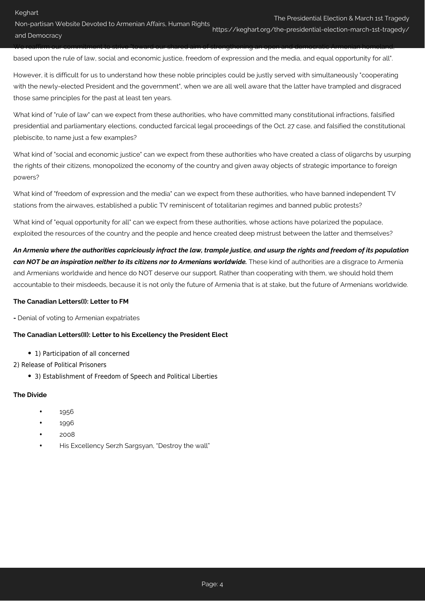Non-partisan Website Devoted to Armenian Affairs, Human Rights and Democracy https://keghart.org/the-presidential-election-march-1st-tragedy/

We reaffirm our commitment to strive "toward our shared aim of strengthening an open and democratic Armenian homeland, based upon the rule of law, social and economic justice, freedom of expression and the media, and equal opportunity for all".

However, it is difficult for us to understand how these noble principles could be justly served with simultaneously "cooperating with the newly-elected President and the government", when we are all well aware that the latter have trampled and disgraced those same principles for the past at least ten years.

What kind of "rule of law" can we expect from these authorities, who have committed many constitutional infractions, falsified presidential and parliamentary elections, conducted farcical legal proceedings of the Oct. 27 case, and falsified the constitutional plebiscite, to name just a few examples?

What kind of "social and economic justice" can we expect from these authorities who have created a class of oligarchs by usurping the rights of their citizens, monopolized the economy of the country and given away objects of strategic importance to foreign powers?

What kind of "freedom of expression and the media" can we expect from these authorities, who have banned independent TV stations from the airwaves, established a public TV reminiscent of totalitarian regimes and banned public protests?

What kind of "equal opportunity for all" can we expect from these authorities, whose actions have polarized the populace, exploited the resources of the country and the people and hence created deep mistrust between the latter and themselves?

*An Armenia where the authorities capriciously infract the law, trample justice, and usurp the rights and freedom of its population can NOT be an inspiration neither to its citizens nor to Armenians worldwide.* These kind of authorities are a disgrace to Armenia and Armenians worldwide and hence do NOT deserve our support. Rather than cooperating with them, we should hold them accountable to their misdeeds, because it is not only the future of Armenia that is at stake, but the future of Armenians worldwide.

#### **The Canadian Letters(I): Letter to FM**

**-** Denial of voting to Armenian expatriates

#### **The Canadian Letters(II): Letter to his Excellency the President Elect**

- 1) Participation of all concerned
- 2) Release of Political Prisoners
	- 3) Establishment of Freedom of Speech and Political Liberties

#### **The Divide**

- 1956
- 1996
- 2008
- His Excellency Serzh Sargsyan, "Destroy the wall"